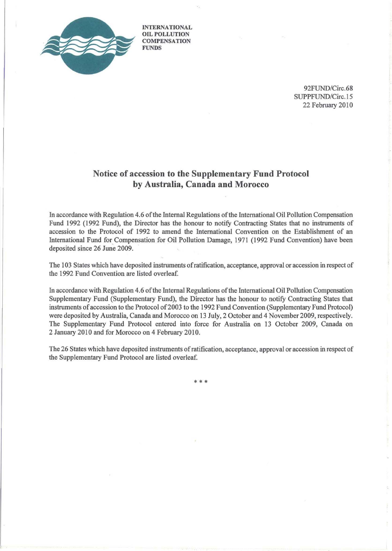

INTERNATIONAL OIL POLLUTION **COMPENSATION FUNDS** 

> 92FUND/Circ.68 SUPPFUND/Circ.15 22 February 2010

# Notice of accession to the Supplementary **Fund** Protocol by Australia, Canada **and** Morocco

In accordance with Regulation 4.6 oftbe Internal Regulations ofthe International Oil Pollution Compensation Fund 1992 (1992 Fund), the Director has the honour to notify Contracting States that no instruments of accession to the Protocol of 1992 to amend the International Convention on the Establishment of an International Fund for Compensation for Oil Pollution Damage, 1971 (1992 Fund Convention) have been deposited since 26 June 2009.

The 103 States which have deposited instruments ofratification, acceptance, approval or accession in respect of the 1992 Fund Convention are listed overleaf.

In accordance with Regulation 4.6 of the Internal Regulations of the International Oil Pollution Compensation Supplementary Fund (Supplementary Fund), the Director has the honour to notify Contracting States that instruments ofaccession to the Protocol of2003 to the 1992 Fund Convention (Supplementary Fund Protocol) were deposited by Australia, Canada and Morocco on 13 July, 2 October and 4 November 2009, respectively. The Supplementary Fund Protocol entered into force for Australia on 13 October 2009, Canada on 2 January 2010 and for Morocco on 4 February 2010.

The 26 States which have deposited instruments ofratification, acceptance, approval or accession in respect of the Supplementary Fund Protocol are listed overleaf.

\*\*\*